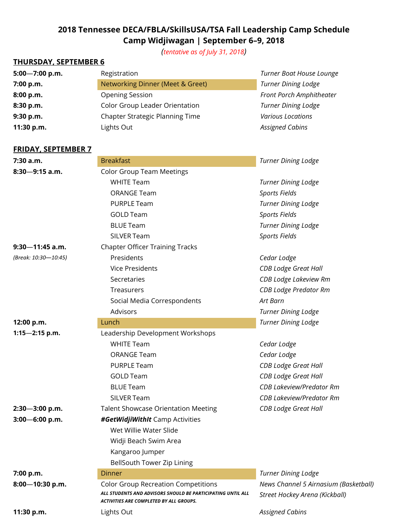# **2018 Tennessee DECA/FBLA/SkillsUSA/TSA Fall Leadership Camp Schedule Camp Widjiwagan | September 6–9, 2018**

*(tentative as of July 31, 2018)*

## **THURSDAY, SEPTEMBER 6**

| $5:00 - 7:00$ p.m. | Registration                     | Turner Boat House Lounge   |
|--------------------|----------------------------------|----------------------------|
| 7:00 p.m.          | Networking Dinner (Meet & Greet) | <b>Turner Dining Lodge</b> |
| 8:00 p.m.          | <b>Opening Session</b>           | Front Porch Amphitheater   |
| 8:30 p.m.          | Color Group Leader Orientation   | <b>Turner Dining Lodge</b> |
| 9:30 p.m.          | Chapter Strategic Planning Time  | <b>Various Locations</b>   |
| 11:30 p.m.         | Lights Out                       | <b>Assigned Cabins</b>     |

#### **FRIDAY, SEPTEMBER 7**

| 7:30 a.m.            | <b>Breakfast</b>                                                                                              | <b>Turner Dining Lodge</b>            |
|----------------------|---------------------------------------------------------------------------------------------------------------|---------------------------------------|
| $8:30 - 9:15$ a.m.   | <b>Color Group Team Meetings</b>                                                                              |                                       |
|                      | <b>WHITE Team</b>                                                                                             | <b>Turner Dining Lodge</b>            |
|                      | <b>ORANGE Team</b>                                                                                            | Sports Fields                         |
|                      | <b>PURPLE Team</b>                                                                                            | <b>Turner Dining Lodge</b>            |
|                      | <b>GOLD Team</b>                                                                                              | Sports Fields                         |
|                      | <b>BLUE Team</b>                                                                                              | <b>Turner Dining Lodge</b>            |
|                      | SILVER Team                                                                                                   | Sports Fields                         |
| $9:30 - 11:45$ a.m.  | <b>Chapter Officer Training Tracks</b>                                                                        |                                       |
| (Break: 10:30-10:45) | Presidents                                                                                                    | Cedar Lodge                           |
|                      | <b>Vice Presidents</b>                                                                                        | <b>CDB Lodge Great Hall</b>           |
|                      | Secretaries                                                                                                   | CDB Lodge Lakeview Rm                 |
|                      | Treasurers                                                                                                    | <b>CDB Lodge Predator Rm</b>          |
|                      | Social Media Correspondents                                                                                   | Art Barn                              |
|                      | Advisors                                                                                                      | <b>Turner Dining Lodge</b>            |
| 12:00 p.m.           | Lunch                                                                                                         | <b>Turner Dining Lodge</b>            |
| $1:15 - 2:15$ p.m.   | Leadership Development Workshops                                                                              |                                       |
|                      | <b>WHITE Team</b>                                                                                             | Cedar Lodge                           |
|                      | <b>ORANGE Team</b>                                                                                            | Cedar Lodge                           |
|                      | <b>PURPLE Team</b>                                                                                            | <b>CDB Lodge Great Hall</b>           |
|                      | <b>GOLD Team</b>                                                                                              | <b>CDB Lodge Great Hall</b>           |
|                      | <b>BLUE Team</b>                                                                                              | <b>CDB Lakeview/Predator Rm</b>       |
|                      | SILVER Team                                                                                                   | <b>CDB Lakeview/Predator Rm</b>       |
| $2:30 - 3:00$ p.m.   | <b>Talent Showcase Orientation Meeting</b>                                                                    | <b>CDB Lodge Great Hall</b>           |
| $3:00 - 6:00$ p.m.   | #GetWidjiWithIt Camp Activities                                                                               |                                       |
|                      | Wet Willie Water Slide                                                                                        |                                       |
|                      | Widji Beach Swim Area                                                                                         |                                       |
|                      | Kangaroo Jumper                                                                                               |                                       |
|                      | BellSouth Tower Zip Lining                                                                                    |                                       |
| 7:00 p.m.            | <b>Dinner</b>                                                                                                 | <b>Turner Dining Lodge</b>            |
| 8:00-10:30 p.m.      | <b>Color Group Recreation Competitions</b>                                                                    | News Channel 5 Airnasium (Basketball) |
|                      | ALL STUDENTS AND ADVISORS SHOULD BE PARTICIPATING UNTIL ALL<br><b>ACTIVITIES ARE COMPLETED BY ALL GROUPS.</b> | Street Hockey Arena (Kickball)        |
| 11:30 p.m.           | Lights Out                                                                                                    | <b>Assigned Cabins</b>                |
|                      |                                                                                                               |                                       |